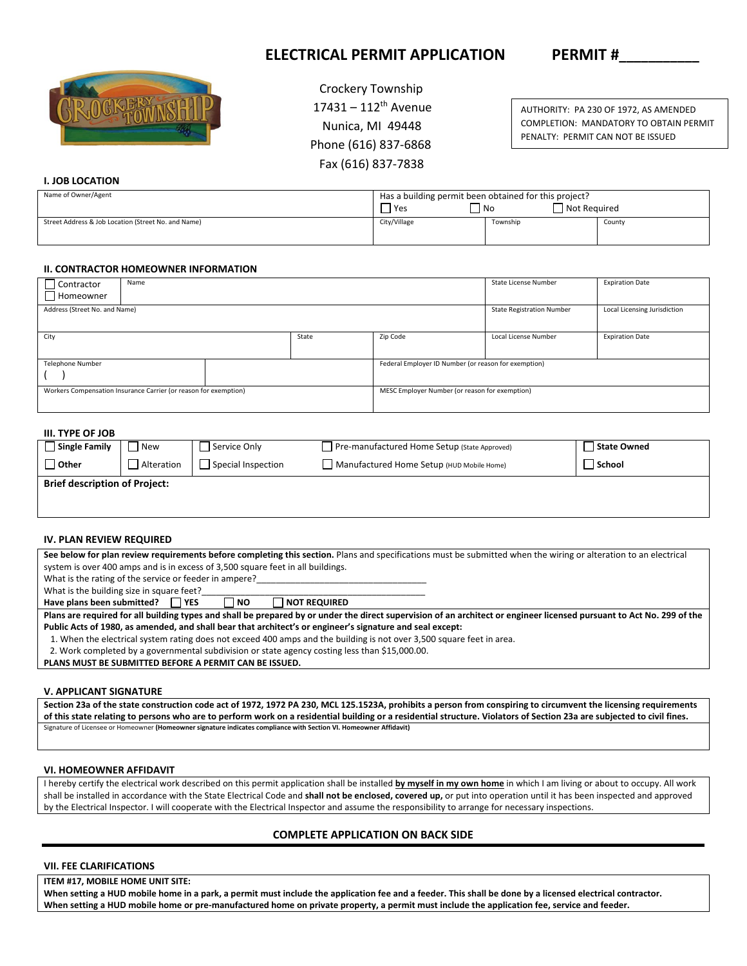# **ELECTRICAL PERMIT APPLICATION PERMIT #**



 Crockery Township  $17431 - 112$ <sup>th</sup> Avenue Nunica, MI 49448 Phone (616) 837‐6868 Fax (616) 837‐7838

AUTHORITY: PA 230 OF 1972, AS AMENDED COMPLETION: MANDATORY TO OBTAIN PERMIT PENALTY: PERMIT CAN NOT BE ISSUED

# **I. JOB LOCATION**

| Name of Owner/Agent                                 | Has a building permit been obtained for this project?<br>Not Required<br>  No<br>'Yes |          |        |  |
|-----------------------------------------------------|---------------------------------------------------------------------------------------|----------|--------|--|
| Street Address & Job Location (Street No. and Name) | City/Village                                                                          | Township | County |  |

# **II. CONTRACTOR HOMEOWNER INFORMATION**

| Contractor                                                       | Name |                                                | State License Number                                 | <b>Expiration Date</b> |                                  |                              |
|------------------------------------------------------------------|------|------------------------------------------------|------------------------------------------------------|------------------------|----------------------------------|------------------------------|
| Homeowner                                                        |      |                                                |                                                      |                        |                                  |                              |
| Address (Street No. and Name)                                    |      |                                                |                                                      |                        | <b>State Registration Number</b> | Local Licensing Jurisdiction |
|                                                                  |      |                                                |                                                      |                        |                                  |                              |
| City<br>State                                                    |      |                                                |                                                      | Zip Code               | Local License Number             | <b>Expiration Date</b>       |
|                                                                  |      |                                                |                                                      |                        |                                  |                              |
| Telephone Number                                                 |      |                                                | Federal Employer ID Number (or reason for exemption) |                        |                                  |                              |
|                                                                  |      |                                                |                                                      |                        |                                  |                              |
| Workers Compensation Insurance Carrier (or reason for exemption) |      | MESC Employer Number (or reason for exemption) |                                                      |                        |                                  |                              |
|                                                                  |      |                                                |                                                      |                        |                                  |                              |

# **III. TYPE OF JOB**

| <b>Single Family</b>                 | New        | Service Only       | Pre-manufactured Home Setup (State Approved) | State Owned |
|--------------------------------------|------------|--------------------|----------------------------------------------|-------------|
| <b>Other</b>                         | Alteration | Special Inspection | Manufactured Home Setup (HUD Mobile Home)    | School      |
| <b>Brief description of Project:</b> |            |                    |                                              |             |
|                                      |            |                    |                                              |             |

### **IV. PLAN REVIEW REQUIRED**

| See below for plan review requirements before completing this section. Plans and specifications must be submitted when the wiring or alteration to an electrical       |  |  |  |  |  |  |  |
|------------------------------------------------------------------------------------------------------------------------------------------------------------------------|--|--|--|--|--|--|--|
| system is over 400 amps and is in excess of 3,500 square feet in all buildings.                                                                                        |  |  |  |  |  |  |  |
| What is the rating of the service or feeder in ampere?                                                                                                                 |  |  |  |  |  |  |  |
| What is the building size in square feet?                                                                                                                              |  |  |  |  |  |  |  |
| Have plans been submitted?   YES<br><b>I NOT REQUIRED</b><br>I NO                                                                                                      |  |  |  |  |  |  |  |
| Plans are required for all building types and shall be prepared by or under the direct supervision of an architect or engineer licensed pursuant to Act No. 299 of the |  |  |  |  |  |  |  |
| Public Acts of 1980, as amended, and shall bear that architect's or engineer's signature and seal except:                                                              |  |  |  |  |  |  |  |
|                                                                                                                                                                        |  |  |  |  |  |  |  |

1. When the electrical system rating does not exceed 400 amps and the building is not over 3,500 square feet in area.

2. Work completed by a governmental subdivision or state agency costing less than \$15,000.00.

**PLANS MUST BE SUBMITTED BEFORE A PERMIT CAN BE ISSUED.** 

## **V. APPLICANT SIGNATURE**

**Section 23a of the state construction code act of 1972, 1972 PA 230, MCL 125.1523A, prohibits a person from conspiring to circumvent the licensing requirements of this state relating to persons who are to perform work on a residential building or a residential structure. Violators of Section 23a are subjected to civil fines.**  Signature of Licensee or Homeowner **(Homeowner signature indicates compliance with Section VI. Homeowner Affidavit)**

## **VI. HOMEOWNER AFFIDAVIT**

I hereby certify the electrical work described on this permit application shall be installed **by myself in my own home** in which I am living or about to occupy. All work shall be installed in accordance with the State Electrical Code and **shall not be enclosed, covered up,** or put into operation until it has been inspected and approved by the Electrical Inspector. I will cooperate with the Electrical Inspector and assume the responsibility to arrange for necessary inspections.

## **COMPLETE APPLICATION ON BACK SIDE**

## **VII. FEE CLARIFICATIONS**

#### **ITEM #17, MOBILE HOME UNIT SITE:**

When setting a HUD mobile home in a park, a permit must include the application fee and a feeder. This shall be done by a licensed electrical contractor. When setting a HUD mobile home or pre-manufactured home on private property, a permit must include the application fee, service and feeder.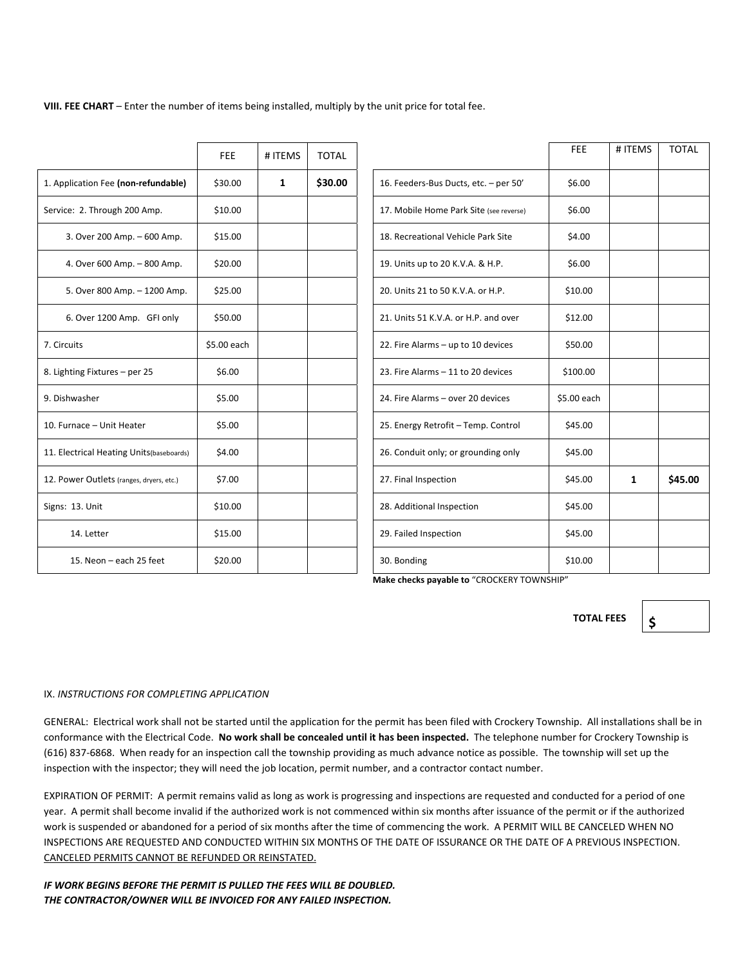**VIII. FEE CHART** – Enter the number of items being installed, multiply by the unit price for total fee.

|                                          | <b>FEE</b>  | # ITEMS      | <b>TOTAL</b> |                                         | <b>FEE</b>  | # ITEMS      |  |
|------------------------------------------|-------------|--------------|--------------|-----------------------------------------|-------------|--------------|--|
| 1. Application Fee (non-refundable)      | \$30.00     | $\mathbf{1}$ | \$30.00      | 16. Feeders-Bus Ducts, etc. - per 50'   | \$6.00      |              |  |
| Service: 2. Through 200 Amp.             | \$10.00     |              |              | 17. Mobile Home Park Site (see reverse) | \$6.00      |              |  |
| 3. Over 200 Amp. - 600 Amp.              | \$15.00     |              |              | 18. Recreational Vehicle Park Site      | \$4.00      |              |  |
| 4. Over 600 Amp. - 800 Amp.              | \$20.00     |              |              | 19. Units up to 20 K.V.A. & H.P.        | \$6.00      |              |  |
| 5. Over 800 Amp. - 1200 Amp.             | \$25.00     |              |              | 20. Units 21 to 50 K.V.A. or H.P.       | \$10.00     |              |  |
| 6. Over 1200 Amp. GFI only               | \$50.00     |              |              | 21. Units 51 K.V.A. or H.P. and over    | \$12.00     |              |  |
| 7. Circuits                              | \$5.00 each |              |              | 22. Fire Alarms - up to 10 devices      | \$50.00     |              |  |
| 8. Lighting Fixtures - per 25            | \$6.00      |              |              | 23. Fire Alarms - 11 to 20 devices      | \$100.00    |              |  |
| 9. Dishwasher                            | \$5.00      |              |              | 24. Fire Alarms - over 20 devices       | \$5.00 each |              |  |
| 10. Furnace - Unit Heater                | \$5.00      |              |              | 25. Energy Retrofit - Temp. Control     | \$45.00     |              |  |
| 11. Electrical Heating Units(baseboards) | \$4.00      |              |              | 26. Conduit only; or grounding only     | \$45.00     |              |  |
| 12. Power Outlets (ranges, dryers, etc.) | \$7.00      |              |              | 27. Final Inspection                    | \$45.00     | $\mathbf{1}$ |  |
| Signs: 13. Unit                          | \$10.00     |              |              | 28. Additional Inspection               | \$45.00     |              |  |
| 14. Letter                               | \$15.00     |              |              | 29. Failed Inspection                   | \$45.00     |              |  |
| 15. Neon - each 25 feet                  | \$20.00     |              |              | 30. Bonding                             | \$10.00     |              |  |

|                                          | <b>FEE</b>  | # ITEMS | <b>TOTAL</b> |                                         | <b>FEE</b>  | # ITEMS | <b>TOTAL</b> |
|------------------------------------------|-------------|---------|--------------|-----------------------------------------|-------------|---------|--------------|
| 1. Application Fee (non-refundable)      | \$30.00     | 1       | \$30.00      | 16. Feeders-Bus Ducts, etc. - per 50'   | \$6.00      |         |              |
| Service: 2. Through 200 Amp.             | \$10.00     |         |              | 17. Mobile Home Park Site (see reverse) | \$6.00      |         |              |
| 3. Over 200 Amp. - 600 Amp.              | \$15.00     |         |              | 18. Recreational Vehicle Park Site      | \$4.00      |         |              |
| 4. Over 600 Amp. - 800 Amp.              | \$20.00     |         |              | 19. Units up to 20 K.V.A. & H.P.        | \$6.00      |         |              |
| 5. Over 800 Amp. - 1200 Amp.             | \$25.00     |         |              | 20. Units 21 to 50 K.V.A. or H.P.       | \$10.00     |         |              |
| 6. Over 1200 Amp. GFI only               | \$50.00     |         |              | 21. Units 51 K.V.A. or H.P. and over    | \$12.00     |         |              |
| 7. Circuits                              | \$5.00 each |         |              | 22. Fire Alarms - up to 10 devices      | \$50.00     |         |              |
| 8. Lighting Fixtures - per 25            | \$6.00      |         |              | 23. Fire Alarms - 11 to 20 devices      | \$100.00    |         |              |
| 9. Dishwasher                            | \$5.00      |         |              | 24. Fire Alarms - over 20 devices       | \$5.00 each |         |              |
| 10. Furnace - Unit Heater                | \$5.00      |         |              | 25. Energy Retrofit - Temp. Control     | \$45.00     |         |              |
| 11. Electrical Heating Units(baseboards) | \$4.00      |         |              | 26. Conduit only; or grounding only     | \$45.00     |         |              |
| 12. Power Outlets (ranges, dryers, etc.) | \$7.00      |         |              | 27. Final Inspection                    | \$45.00     | 1       | \$45.00      |
| Signs: 13. Unit                          | \$10.00     |         |              | 28. Additional Inspection               | \$45.00     |         |              |
| 14. Letter                               | \$15.00     |         |              | 29. Failed Inspection                   | \$45.00     |         |              |
| 15. Neon - each 25 feet                  | \$20.00     |         |              | 30. Bonding                             | \$10.00     |         |              |

Make checks payable to "CROCKERY TOWNSHIP"

**TOTAL FEES**

**\$** 

## IX. *INSTRUCTIONS FOR COMPLETING APPLICATION*

GENERAL: Electrical work shall not be started until the application for the permit has been filed with Crockery Township. All installations shall be in conformance with the Electrical Code. **No work shall be concealed until it has been inspected.** The telephone number for Crockery Township is (616) 837‐6868. When ready for an inspection call the township providing as much advance notice as possible. The township will set up the inspection with the inspector; they will need the job location, permit number, and a contractor contact number.

EXPIRATION OF PERMIT: A permit remains valid as long as work is progressing and inspections are requested and conducted for a period of one year. A permit shall become invalid if the authorized work is not commenced within six months after issuance of the permit or if the authorized work is suspended or abandoned for a period of six months after the time of commencing the work. A PERMIT WILL BE CANCELED WHEN NO INSPECTIONS ARE REQUESTED AND CONDUCTED WITHIN SIX MONTHS OF THE DATE OF ISSURANCE OR THE DATE OF A PREVIOUS INSPECTION. CANCELED PERMITS CANNOT BE REFUNDED OR REINSTATED.

*IF WORK BEGINS BEFORE THE PERMIT IS PULLED THE FEES WILL BE DOUBLED. THE CONTRACTOR/OWNER WILL BE INVOICED FOR ANY FAILED INSPECTION.*